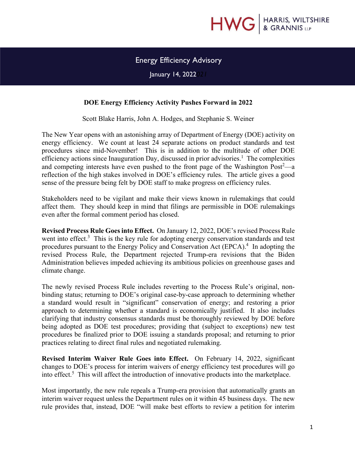

## Energy Efficiency Advisory

January 14, 2022*021*

## **DOE Energy Efficiency Activity Pushes Forward in 2022**

Scott Blake Harris, John A. Hodges, and Stephanie S. Weiner

The New Year opens with an astonishing array of Department of Energy (DOE) activity on energy efficiency. We count at least 24 separate actions on product standards and test procedures since mid-November! This is in addition to the multitude of other DOE efficiency actions since Inauguration Day, discussed in prior advisories.<sup>1</sup> The complexities and competing interests have even pushed to the front page of the Washington Post<sup>2</sup>—a reflection of the high stakes involved in DOE's efficiency rules. The article gives a good sense of the pressure being felt by DOE staff to make progress on efficiency rules.

Stakeholders need to be vigilant and make their views known in rulemakings that could affect them. They should keep in mind that filings are permissible in DOE rulemakings even after the formal comment period has closed.

**Revised Process Rule Goes into Effect.** On January 12, 2022, DOE's revised Process Rule went into effect.<sup>3</sup> This is the key rule for adopting energy conservation standards and test procedures pursuant to the Energy Policy and Conservation Act (EPCA).<sup>4</sup> In adopting the revised Process Rule, the Department rejected Trump-era revisions that the Biden Administration believes impeded achieving its ambitious policies on greenhouse gases and climate change.

The newly revised Process Rule includes reverting to the Process Rule's original, nonbinding status; returning to DOE's original case-by-case approach to determining whether a standard would result in "significant" conservation of energy; and restoring a prior approach to determining whether a standard is economically justified. It also includes clarifying that industry consensus standards must be thoroughly reviewed by DOE before being adopted as DOE test procedures; providing that (subject to exceptions) new test procedures be finalized prior to DOE issuing a standards proposal; and returning to prior practices relating to direct final rules and negotiated rulemaking.

**Revised Interim Waiver Rule Goes into Effect.** On February 14, 2022, significant changes to DOE's process for interim waivers of energy efficiency test procedures will go into effect.<sup>5</sup> This will affect the introduction of innovative products into the marketplace.

Most importantly, the new rule repeals a Trump-era provision that automatically grants an interim waiver request unless the Department rules on it within 45 business days. The new rule provides that, instead, DOE "will make best efforts to review a petition for interim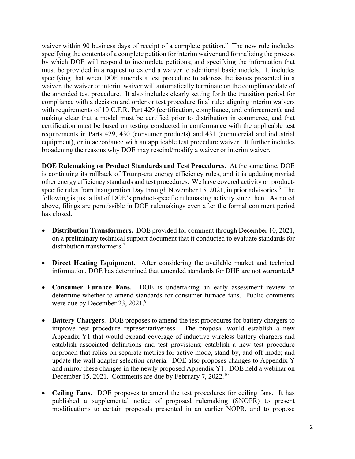waiver within 90 business days of receipt of a complete petition." The new rule includes specifying the contents of a complete petition for interim waiver and formalizing the process by which DOE will respond to incomplete petitions; and specifying the information that must be provided in a request to extend a waiver to additional basic models. It includes specifying that when DOE amends a test procedure to address the issues presented in a waiver, the waiver or interim waiver will automatically terminate on the compliance date of the amended test procedure. It also includes clearly setting forth the transition period for compliance with a decision and order or test procedure final rule; aligning interim waivers with requirements of 10 C.F.R. Part 429 (certification, compliance, and enforcement), and making clear that a model must be certified prior to distribution in commerce, and that certification must be based on testing conducted in conformance with the applicable test requirements in Parts 429, 430 (consumer products) and 431 (commercial and industrial equipment), or in accordance with an applicable test procedure waiver. It further includes broadening the reasons why DOE may rescind/modify a waiver or interim waiver.

**DOE Rulemaking on Product Standards and Test Procedures.** At the same time, DOE is continuing its rollback of Trump-era energy efficiency rules, and it is updating myriad other energy efficiency standards and test procedures. We have covered activity on productspecific rules from Inauguration Day through November 15, 2021, in prior advisories.<sup>6</sup> The following is just a list of DOE's product-specific rulemaking activity since then. As noted above, filings are permissible in DOE rulemakings even after the formal comment period has closed.

- **Distribution Transformers.** DOE provided for comment through December 10, 2021, on a preliminary technical support document that it conducted to evaluate standards for distribution transformers.<sup>7</sup>
- **Direct Heating Equipment.** After considering the available market and technical information, DOE has determined that amended standards for DHE are not warranted**. 8**
- **Consumer Furnace Fans.** DOE is undertaking an early assessment review to determine whether to amend standards for consumer furnace fans. Public comments were due by December 23, 2021.<sup>9</sup>
- **Battery Chargers**. DOE proposes to amend the test procedures for battery chargers to improve test procedure representativeness. The proposal would establish a new Appendix Y1 that would expand coverage of inductive wireless battery chargers and establish associated definitions and test provisions; establish a new test procedure approach that relies on separate metrics for active mode, stand-by, and off-mode; and update the wall adapter selection criteria. DOE also proposes changes to Appendix Y and mirror these changes in the newly proposed Appendix Y1. DOE held a webinar on December 15, 2021. Comments are due by February 7, 2022.<sup>10</sup>
- **Ceiling Fans.** DOE proposes to amend the test procedures for ceiling fans. It has published a supplemental notice of proposed rulemaking (SNOPR) to present modifications to certain proposals presented in an earlier NOPR, and to propose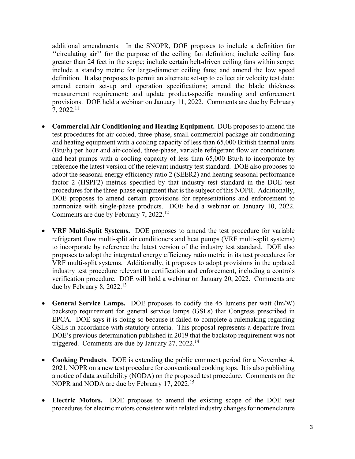additional amendments. In the SNOPR, DOE proposes to include a definition for ''circulating air'' for the purpose of the ceiling fan definition; include ceiling fans greater than 24 feet in the scope; include certain belt-driven ceiling fans within scope; include a standby metric for large-diameter ceiling fans; and amend the low speed definition. It also proposes to permit an alternate set-up to collect air velocity test data; amend certain set-up and operation specifications; amend the blade thickness measurement requirement; and update product-specific rounding and enforcement provisions. DOE held a webinar on January 11, 2022. Comments are due by February  $7, 2022.<sup>11</sup>$ 

- **Commercial Air Conditioning and Heating Equipment.** DOE proposes to amend the test procedures for air-cooled, three-phase, small commercial package air conditioning and heating equipment with a cooling capacity of less than 65,000 British thermal units (Btu/h) per hour and air-cooled, three-phase, variable refrigerant flow air conditioners and heat pumps with a cooling capacity of less than 65,000 Btu/h to incorporate by reference the latest version of the relevant industry test standard. DOE also proposes to adopt the seasonal energy efficiency ratio 2 (SEER2) and heating seasonal performance factor 2 (HSPF2) metrics specified by that industry test standard in the DOE test procedures for the three-phase equipment that is the subject of this NOPR. Additionally, DOE proposes to amend certain provisions for representations and enforcement to harmonize with single-phase products. DOE held a webinar on January 10, 2022. Comments are due by February 7, 2022.<sup>12</sup>
- **VRF Multi-Split Systems.** DOE proposes to amend the test procedure for variable refrigerant flow multi-split air conditioners and heat pumps (VRF multi-split systems) to incorporate by reference the latest version of the industry test standard. DOE also proposes to adopt the integrated energy efficiency ratio metric in its test procedures for VRF multi-split systems. Additionally, it proposes to adopt provisions in the updated industry test procedure relevant to certification and enforcement, including a controls verification procedure. DOE will hold a webinar on January 20, 2022. Comments are due by February 8,  $2022.<sup>13</sup>$
- **General Service Lamps.** DOE proposes to codify the 45 lumens per watt (lm/W) backstop requirement for general service lamps (GSLs) that Congress prescribed in EPCA. DOE says it is doing so because it failed to complete a rulemaking regarding GSLs in accordance with statutory criteria. This proposal represents a departure from DOE's previous determination published in 2019 that the backstop requirement was not triggered. Comments are due by January  $27, 2022$ <sup>14</sup>
- **Cooking Products**. DOE is extending the public comment period for a November 4, 2021, NOPR on a new test procedure for conventional cooking tops. It is also publishing a notice of data availability (NODA) on the proposed test procedure. Comments on the NOPR and NODA are due by February 17, 2022.<sup>15</sup>
- **Electric Motors.** DOE proposes to amend the existing scope of the DOE test procedures for electric motors consistent with related industry changes for nomenclature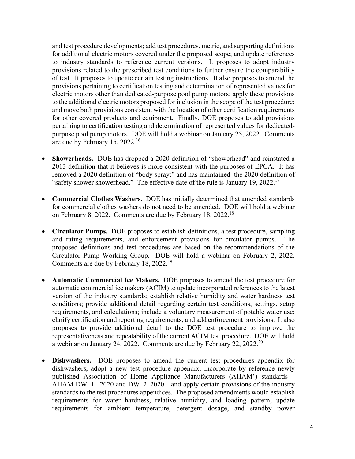and test procedure developments; add test procedures, metric, and supporting definitions for additional electric motors covered under the proposed scope; and update references to industry standards to reference current versions. It proposes to adopt industry provisions related to the prescribed test conditions to further ensure the comparability of test. It proposes to update certain testing instructions. It also proposes to amend the provisions pertaining to certification testing and determination of represented values for electric motors other than dedicated-purpose pool pump motors; apply these provisions to the additional electric motors proposed for inclusion in the scope of the test procedure; and move both provisions consistent with the location of other certification requirements for other covered products and equipment. Finally, DOE proposes to add provisions pertaining to certification testing and determination of represented values for dedicatedpurpose pool pump motors. DOE will hold a webinar on January 25, 2022. Comments are due by February 15, 2022.<sup>16</sup>

- **Showerheads.** DOE has dropped a 2020 definition of "showerhead" and reinstated a 2013 definition that it believes is more consistent with the purposes of EPCA. It has removed a 2020 definition of "body spray;" and has maintained the 2020 definition of "safety shower showerhead." The effective date of the rule is January 19, 2022.<sup>17</sup>
- **Commercial Clothes Washers.** DOE has initially determined that amended standards for commercial clothes washers do not need to be amended. DOE will hold a webinar on February 8, 2022. Comments are due by February 18, 2022.<sup>18</sup>
- **Circulator Pumps.** DOE proposes to establish definitions, a test procedure, sampling and rating requirements, and enforcement provisions for circulator pumps. The proposed definitions and test procedures are based on the recommendations of the Circulator Pump Working Group. DOE will hold a webinar on February 2, 2022. Comments are due by February 18, 2022.<sup>19</sup>
- **Automatic Commercial Ice Makers.** DOE proposes to amend the test procedure for automatic commercial ice makers (ACIM) to update incorporated references to the latest version of the industry standards; establish relative humidity and water hardness test conditions; provide additional detail regarding certain test conditions, settings, setup requirements, and calculations; include a voluntary measurement of potable water use; clarify certification and reporting requirements; and add enforcement provisions. It also proposes to provide additional detail to the DOE test procedure to improve the representativeness and repeatability of the current ACIM test procedure. DOE will hold a webinar on January 24, 2022. Comments are due by February 22, 2022.<sup>20</sup>
- **Dishwashers.** DOE proposes to amend the current test procedures appendix for dishwashers, adopt a new test procedure appendix, incorporate by reference newly published Association of Home Appliance Manufacturers (AHAM') standards— AHAM DW–1– 2020 and DW–2–2020—and apply certain provisions of the industry standards to the test procedures appendices. The proposed amendments would establish requirements for water hardness, relative humidity, and loading pattern; update requirements for ambient temperature, detergent dosage, and standby power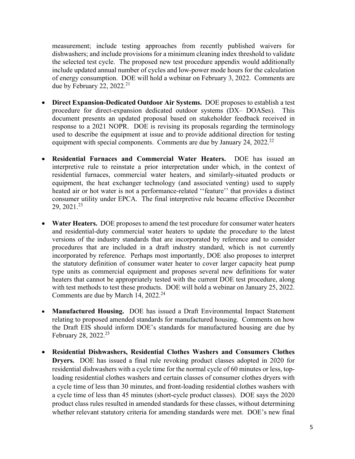measurement; include testing approaches from recently published waivers for dishwashers; and include provisions for a minimum cleaning index threshold to validate the selected test cycle. The proposed new test procedure appendix would additionally include updated annual number of cycles and low-power mode hours for the calculation of energy consumption. DOE will hold a webinar on February 3, 2022. Comments are due by February 22, 2022.<sup>21</sup>

- **Direct Expansion-Dedicated Outdoor Air Systems.** DOE proposes to establish a test procedure for direct-expansion dedicated outdoor systems (DX– DOASes). This document presents an updated proposal based on stakeholder feedback received in response to a 2021 NOPR. DOE is revising its proposals regarding the terminology used to describe the equipment at issue and to provide additional direction for testing equipment with special components. Comments are due by January 24, 2022.<sup>22</sup>
- **Residential Furnaces and Commercial Water Heaters.** DOE has issued an interpretive rule to reinstate a prior interpretation under which, in the context of residential furnaces, commercial water heaters, and similarly-situated products or equipment, the heat exchanger technology (and associated venting) used to supply heated air or hot water is not a performance-related ''feature'' that provides a distinct consumer utility under EPCA. The final interpretive rule became effective December  $29, 2021.<sup>23</sup>$
- **Water Heaters.** DOE proposes to amend the test procedure for consumer water heaters and residential-duty commercial water heaters to update the procedure to the latest versions of the industry standards that are incorporated by reference and to consider procedures that are included in a draft industry standard, which is not currently incorporated by reference. Perhaps most importantly, DOE also proposes to interpret the statutory definition of consumer water heater to cover larger capacity heat pump type units as commercial equipment and proposes several new definitions for water heaters that cannot be appropriately tested with the current DOE test procedure, along with test methods to test these products. DOE will hold a webinar on January 25, 2022. Comments are due by March 14, 2022.<sup>24</sup>
- **Manufactured Housing.** DOE has issued a Draft Environmental Impact Statement relating to proposed amended standards for manufactured housing. Comments on how the Draft EIS should inform DOE's standards for manufactured housing are due by February 28, 2022.<sup>25</sup>
- **Residential Dishwashers, Residential Clothes Washers and Consumers Clothes Dryers.** DOE has issued a final rule revoking product classes adopted in 2020 for residential dishwashers with a cycle time for the normal cycle of 60 minutes or less, toploading residential clothes washers and certain classes of consumer clothes dryers with a cycle time of less than 30 minutes, and front-loading residential clothes washers with a cycle time of less than 45 minutes (short-cycle product classes). DOE says the 2020 product class rules resulted in amended standards for these classes, without determining whether relevant statutory criteria for amending standards were met. DOE's new final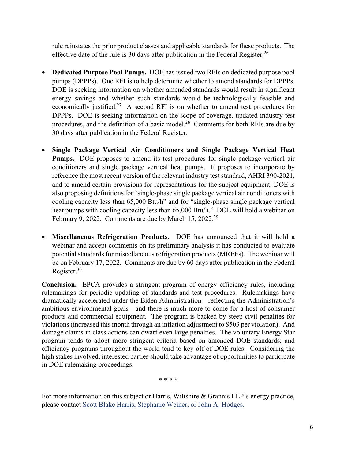rule reinstates the prior product classes and applicable standards for these products. The effective date of the rule is 30 days after publication in the Federal Register.<sup>26</sup>

- **Dedicated Purpose Pool Pumps.** DOE has issued two RFIs on dedicated purpose pool pumps (DPPPs). One RFI is to help determine whether to amend standards for DPPPs. DOE is seeking information on whether amended standards would result in significant energy savings and whether such standards would be technologically feasible and economically justified.<sup>27</sup> A second RFI is on whether to amend test procedures for DPPPs. DOE is seeking information on the scope of coverage, updated industry test procedures, and the definition of a basic model.28 Comments for both RFIs are due by 30 days after publication in the Federal Register.
- **Single Package Vertical Air Conditioners and Single Package Vertical Heat Pumps.** DOE proposes to amend its test procedures for single package vertical air conditioners and single package vertical heat pumps. It proposes to incorporate by reference the most recent version of the relevant industry test standard, AHRI 390-2021, and to amend certain provisions for representations for the subject equipment. DOE is also proposing definitions for "single-phase single package vertical air conditioners with cooling capacity less than 65,000 Btu/h" and for "single-phase single package vertical heat pumps with cooling capacity less than 65,000 Btu/h." DOE will hold a webinar on February 9, 2022. Comments are due by March 15, 2022.<sup>29</sup>
- **Miscellaneous Refrigeration Products.** DOE has announced that it will hold a webinar and accept comments on its preliminary analysis it has conducted to evaluate potential standards for miscellaneous refrigeration products (MREFs). The webinar will be on February 17, 2022. Comments are due by 60 days after publication in the Federal Register. $30$

**Conclusion.** EPCA provides a stringent program of energy efficiency rules, including rulemakings for periodic updating of standards and test procedures. Rulemakings have dramatically accelerated under the Biden Administration—reflecting the Administration's ambitious environmental goals—and there is much more to come for a host of consumer products and commercial equipment. The program is backed by steep civil penalties for violations (increased this month through an inflation adjustment to \$503 per violation). And damage claims in class actions can dwarf even large penalties. The voluntary Energy Star program tends to adopt more stringent criteria based on amended DOE standards; and efficiency programs throughout the world tend to key off of DOE rules. Considering the high stakes involved, interested parties should take advantage of opportunities to participate in DOE rulemaking proceedings.

\* \* \* \*

For more information on this subject or Harris, Wiltshire & Grannis LLP's energy practice, please contact Scott Blake Harris, Stephanie Weiner, or John A. Hodges.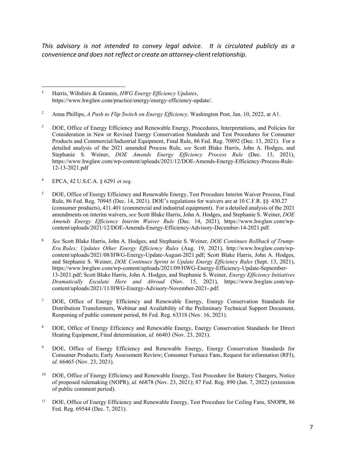*This advisory is not intended to convey legal advice. It is circulated publicly as a convenience* and *does* not reflect or create an attorney-client relationship.

2 Anna Phillips, *A Push to Flip Switch on Energy Efficiency,* Washington Post, Jan. 10, 2022, at A1.

- 3 DOE, Office of Energy Efficiency and Renewable Energy, Procedures, Interpretations, and Policies for Consideration in New or Revised Energy Conservation Standards and Test Procedures for Consumer Products and Commercial/Industrial Equipment, Final Rule, 86 Fed. Reg. 70892 (Dec. 13, 2021). For a detailed analysis of the 2021 amended Process Rule, *see* Scott Blake Harris, John A. Hodges, and Stephanie S. Weiner, *DOE Amends Energy Efficiency Process Rule* (Dec. 13, 2021), https://www.hwglaw.com/wp-content/uploads/2021/12/DOE-Amends-Energy-Efficiency-Process-Rule-12-13-2021.pdf
- 4 EPCA, 42 U.S.C.A. § 6291 *et seq.*
- 5 DOE, Office of Energy Efficiency and Renewable Energy, Test Procedure Interim Waiver Process, Final Rule, 86 Fed. Reg. 70945 (Dec. 14, 2021). DOE's regulations for waivers are at 10 C.F.R. §§ 430.27 (consumer products), 431.401 (commercial and industrial equipment). For a detailed analysis of the 2021 amendments on interim waivers, *see* Scott Blake Harris, John A. Hodges, and Stephanie S. Weiner, *DOE Amends Energy Efficiency Interim Waiver Rule* (Dec. 14, 2021), https://www.hwglaw.com/wpcontent/uploads/2021/12/DOE-Amends-Energy-Efficiency-Advisory-December-14-2021.pdf.
- 6 *See* Scott Blake Harris, John A. Hodges, and Stephanie S. Weiner, *DOE Continues Rollback of Trump-Era Rules; Updates Other Energy Efficiency Rules* (Aug. 19, 2021), http://www.hwglaw.com/wpcontent/uploads/2021/08/HWG-Energy-Update-August-2021.pdf; Scott Blake Harris, John A. Hodges, and Stephanie S. Weiner, *DOE Continues Sprint to Update Energy Efficiency Rules* (Sept. 13, 2021), https://www.hwglaw.com/wp-content/uploads/2021/09/HWG-Energy-Efficiency-Update-September-13-2021.pdf; Scott Blake Harris, John A. Hodges, and Stephanie S. Weiner, *Energy Efficiency Initiatives Dramatically Escalate Here and Abroad* (Nov. 15, 2021), https://www.hwglaw.com/wpcontent/uploads/2021/11/HWG-Energy-Advisory-November-2021-.pdf.
- <sup>7</sup> DOE, Office of Energy Efficiency and Renewable Energy, Energy Conservation Standards for Distribution Transformers, Webinar and Availability of the Preliminary Technical Support Document, Reopening of public comment period, 86 Fed. Reg. 63318 (Nov. 16, 2021).
- <sup>8</sup> DOE, Office of Energy Efficiency and Renewable Energy, Energy Conservation Standards for Direct Heating Equipment, Final determination, *id.* 66403 (Nov. 23, 2021).
- <sup>9</sup> DOE, Office of Energy Efficiency and Renewable Energy, Energy Conservation Standards for Consumer Products; Early Assessment Review; Consumer Furnace Fans, Request for information (RFI), *id.* 66465 (Nov. 23, 2021).
- <sup>10</sup> DOE, Office of Energy Efficiency and Renewable Energy, Test Procedure for Battery Chargers, Notice of proposed rulemaking (NOPR), *id.* 66878 (Nov. 23, 2021); 87 Fed. Reg. 890 (Jan. 7, 2022) (extension of public comment period).
- <sup>11</sup> DOE, Office of Energy Efficiency and Renewable Energy, Test Procedure for Ceiling Fans, SNOPR, 86 Fed. Reg. 69544 (Dec. 7, 2021).

<sup>1</sup> Harris, Wiltshire & Grannis, *HWG Energy Efficiency Updates*, https://www.hwglaw.com/practice/energy/energy-efficiency-update/.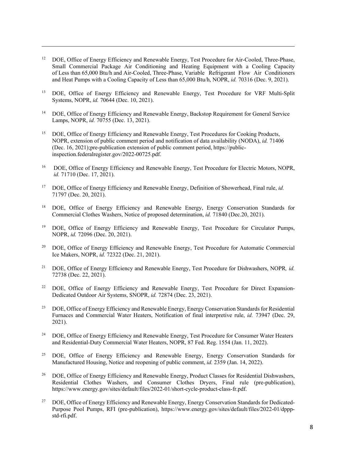- <sup>12</sup> DOE, Office of Energy Efficiency and Renewable Energy, Test Procedure for Air-Cooled, Three-Phase, Small Commercial Package Air Conditioning and Heating Equipment with a Cooling Capacity of Less than 65,000 Btu/h and Air-Cooled, Three-Phase, Variable Refrigerant Flow Air Conditioners and Heat Pumps with a Cooling Capacity of Less than 65,000 Btu/h, NOPR, *id.* 70316 (Dec. 9, 2021).
- <sup>13</sup> DOE, Office of Energy Efficiency and Renewable Energy, Test Procedure for VRF Multi-Split Systems, NOPR, *id.* 70644 (Dec. 10, 2021).
- <sup>14</sup> DOE, Office of Energy Efficiency and Renewable Energy, Backstop Requirement for General Service Lamps, NOPR, *id.* 70755 (Dec. 13, 2021).
- 15 DOE, Office of Energy Efficiency and Renewable Energy, Test Procedures for Cooking Products, NOPR, extension of public comment period and notification of data availability (NODA), *id.* 71406 (Dec. 16, 2021);pre-publication extension of public comment period, https://publicinspection.federalregister.gov/2022-00725.pdf.
- 16 DOE, Office of Energy Efficiency and Renewable Energy, Test Procedure for Electric Motors, NOPR, *id.* 71710 (Dec. 17, 2021).
- 17 DOE, Office of Energy Efficiency and Renewable Energy, Definition of Showerhead, Final rule, *id.* 71797 (Dec. 20, 2021).
- 18 DOE, Office of Energy Efficiency and Renewable Energy, Energy Conservation Standards for Commercial Clothes Washers, Notice of proposed determination, *id.* 71840 (Dec.20, 2021).
- <sup>19</sup> DOE, Office of Energy Efficiency and Renewable Energy, Test Procedure for Circulator Pumps, NOPR, *id.* 72096 (Dec. 20, 2021).
- <sup>20</sup> DOE, Office of Energy Efficiency and Renewable Energy, Test Procedure for Automatic Commercial Ice Makers, NOPR, *id.* 72322 (Dec. 21, 2021).
- 21 DOE, Office of Energy Efficiency and Renewable Energy, Test Procedure for Dishwashers, NOPR*, id.* 72738 (Dec. 22, 2021).
- <sup>22</sup> DOE, Office of Energy Efficiency and Renewable Energy, Test Procedure for Direct Expansion-Dedicated Outdoor Air Systems, SNOPR, *id.* 72874 (Dec. 23, 2021).
- <sup>23</sup> DOE, Office of Energy Efficiency and Renewable Energy, Energy Conservation Standards for Residential Furnaces and Commercial Water Heaters, Notification of final interpretive rule, *id.* 73947 (Dec. 29, 2021).
- <sup>24</sup> DOE, Office of Energy Efficiency and Renewable Energy, Test Procedure for Consumer Water Heaters and Residential-Duty Commercial Water Heaters, NOPR, 87 Fed. Reg. 1554 (Jan. 11, 2022).
- <sup>25</sup> DOE, Office of Energy Efficiency and Renewable Energy, Energy Conservation Standards for Manufactured Housing, Notice and reopening of public comment, *id.* 2359 (Jan. 14, 2022).
- <sup>26</sup> DOE, Office of Energy Efficiency and Renewable Energy, Product Classes for Residential Dishwashers, Residential Clothes Washers, and Consumer Clothes Dryers, Final rule (pre-publication), https://www.energy.gov/sites/default/files/2022-01/short-cycle-product-class-fr.pdf.
- <sup>27</sup> DOE, Office of Energy Efficiency and Renewable Energy, Energy Conservation Standards for Dedicated-Purpose Pool Pumps, RFI (pre-publication), https://www.energy.gov/sites/default/files/2022-01/dpppstd-rfi.pdf.